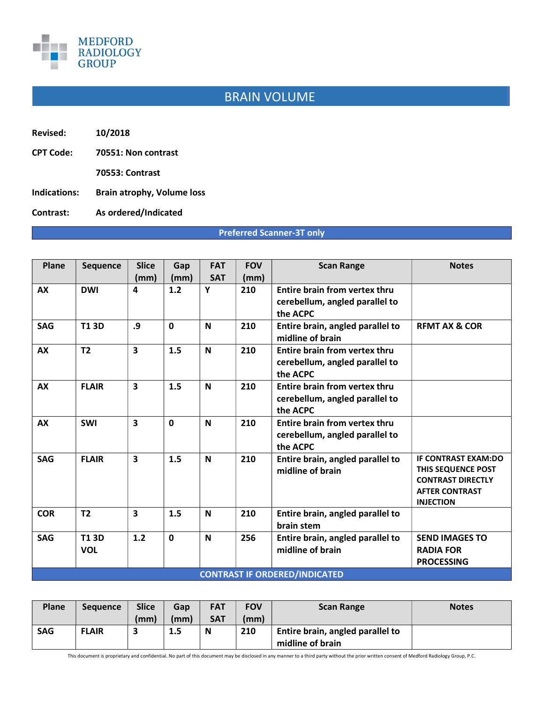

## BRAIN VOLUME

- Revised: 10/2018
- CPT Code: 70551: Non contrast
	- 70553: Contrast
- Indications: Brain atrophy, Volume loss
- Contrast: As ordered/Indicated

## Preferred Scanner-3T only

| Plane      | <b>Sequence</b>           | <b>Slice</b>            | Gap          | <b>FAT</b>  | <b>FOV</b> | <b>Scan Range</b>                                                                  | <b>Notes</b>                                                                                                              |
|------------|---------------------------|-------------------------|--------------|-------------|------------|------------------------------------------------------------------------------------|---------------------------------------------------------------------------------------------------------------------------|
|            |                           | (mm)                    | (mm)         | <b>SAT</b>  | (mm)       |                                                                                    |                                                                                                                           |
| <b>AX</b>  | <b>DWI</b>                | 4                       | 1.2          | Y           | 210        | Entire brain from vertex thru<br>cerebellum, angled parallel to<br>the ACPC        |                                                                                                                           |
| <b>SAG</b> | <b>T13D</b>               | .9                      | $\Omega$     | N           | 210        | Entire brain, angled parallel to<br>midline of brain                               | <b>REMT AX &amp; COR</b>                                                                                                  |
| <b>AX</b>  | T <sub>2</sub>            | 3                       | 1.5          | N           | 210        | Entire brain from vertex thru<br>cerebellum, angled parallel to<br>the ACPC        |                                                                                                                           |
| <b>AX</b>  | <b>FLAIR</b>              | $\overline{\mathbf{3}}$ | 1.5          | $\mathbf N$ | 210        | Entire brain from vertex thru<br>cerebellum, angled parallel to<br>the ACPC        |                                                                                                                           |
| <b>AX</b>  | <b>SWI</b>                | 3                       | $\mathbf{0}$ | N           | 210        | <b>Entire brain from vertex thru</b><br>cerebellum, angled parallel to<br>the ACPC |                                                                                                                           |
| <b>SAG</b> | <b>FLAIR</b>              | $\overline{\mathbf{3}}$ | 1.5          | N           | 210        | Entire brain, angled parallel to<br>midline of brain                               | <b>IF CONTRAST EXAM:DO</b><br>THIS SEQUENCE POST<br><b>CONTRAST DIRECTLY</b><br><b>AFTER CONTRAST</b><br><b>INJECTION</b> |
| <b>COR</b> | T <sub>2</sub>            | 3                       | 1.5          | N           | 210        | Entire brain, angled parallel to<br>brain stem                                     |                                                                                                                           |
| <b>SAG</b> | <b>T13D</b><br><b>VOL</b> | 1.2                     | $\mathbf 0$  | N           | 256        | Entire brain, angled parallel to<br>midline of brain                               | <b>SEND IMAGES TO</b><br><b>RADIA FOR</b><br><b>PROCESSING</b>                                                            |
|            |                           |                         |              |             |            | <b>CONTRAST IF ORDERED/INDICATED</b>                                               |                                                                                                                           |

| <b>Plane</b> | <b>Sequence</b> | <b>Slice</b> | Gap  | <b>FAT</b> | <b>FOV</b> | <b>Scan Range</b>                | <b>Notes</b> |
|--------------|-----------------|--------------|------|------------|------------|----------------------------------|--------------|
|              |                 | (mm)         | (mm) | <b>SAT</b> | (mm)       |                                  |              |
| <b>SAG</b>   | <b>FLAIR</b>    |              | 1.5  | N          | 210        | Entire brain, angled parallel to |              |
|              |                 |              |      |            |            | midline of brain                 |              |

This document is proprietary and confidential. No part of this document may be disclosed in any manner to a third party without the prior written consent of Medford Radiology Group, P.C.